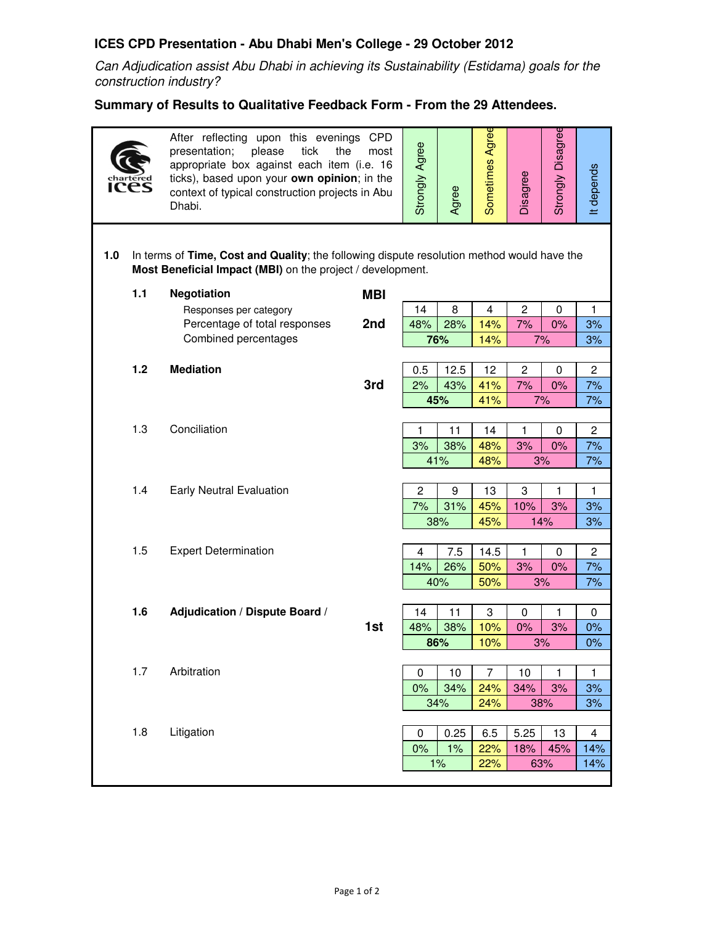## **ICES CPD Presentation - Abu Dhabi Men's College - 29 October 2012**

Can Adjudication assist Abu Dhabi in achieving its Sustainability (Estidama) goals for the construction industry?

## **Summary of Results to Qualitative Feedback Form - From the 29 Attendees.**

| <b>ICES</b> |                                                                                                                                                          | After reflecting upon this evenings CPD<br>please<br>tick<br>presentation;<br>the<br>most<br>appropriate box against each item (i.e. 16<br>ticks), based upon your own opinion; in the<br>context of typical construction projects in Abu<br>Dhabi. |            | <b>Strongly Agree</b> | Agree      | Sometimes Agree | Disagree       | Strongly Disagree | It depends     |  |  |  |  |
|-------------|----------------------------------------------------------------------------------------------------------------------------------------------------------|-----------------------------------------------------------------------------------------------------------------------------------------------------------------------------------------------------------------------------------------------------|------------|-----------------------|------------|-----------------|----------------|-------------------|----------------|--|--|--|--|
| 1.0         | In terms of Time, Cost and Quality; the following dispute resolution method would have the<br>Most Beneficial Impact (MBI) on the project / development. |                                                                                                                                                                                                                                                     |            |                       |            |                 |                |                   |                |  |  |  |  |
|             | 1.1                                                                                                                                                      | <b>Negotiation</b>                                                                                                                                                                                                                                  | <b>MBI</b> |                       |            |                 |                |                   |                |  |  |  |  |
|             |                                                                                                                                                          | Responses per category                                                                                                                                                                                                                              |            | 14                    | 8          | 4               | $\overline{c}$ | $\Omega$          | 1              |  |  |  |  |
|             |                                                                                                                                                          | Percentage of total responses<br>Combined percentages                                                                                                                                                                                               | 2nd        | 48%                   | 28%        | 14%             | 7%             | 0%                | 3%             |  |  |  |  |
|             |                                                                                                                                                          |                                                                                                                                                                                                                                                     |            |                       | 76%        | 14%             | 7%<br>3%       |                   |                |  |  |  |  |
|             | $1.2$                                                                                                                                                    | <b>Mediation</b>                                                                                                                                                                                                                                    |            | 0.5                   | 12.5       | 12              | $\overline{c}$ | 0                 | $\overline{c}$ |  |  |  |  |
|             |                                                                                                                                                          |                                                                                                                                                                                                                                                     | 3rd        | 2%                    | 43%        | 41%             | 7%             | 0%                | 7%             |  |  |  |  |
|             |                                                                                                                                                          |                                                                                                                                                                                                                                                     |            |                       | 45%        | 41%             |                | 7%                | 7%             |  |  |  |  |
|             |                                                                                                                                                          |                                                                                                                                                                                                                                                     |            |                       |            |                 |                |                   |                |  |  |  |  |
|             | 1.3                                                                                                                                                      | Conciliation                                                                                                                                                                                                                                        |            | 1                     | 11         | 14              | 1              | 0                 | $\overline{c}$ |  |  |  |  |
|             |                                                                                                                                                          |                                                                                                                                                                                                                                                     |            | 3%                    | 38%        | 48%             | 3%             | 0%                | 7%             |  |  |  |  |
|             |                                                                                                                                                          |                                                                                                                                                                                                                                                     |            |                       | 41%        | 48%             |                | 3%                | 7%             |  |  |  |  |
|             | 1.4                                                                                                                                                      | <b>Early Neutral Evaluation</b>                                                                                                                                                                                                                     |            | $\overline{c}$        | 9          | 13              | 3              | 1                 | 1              |  |  |  |  |
|             |                                                                                                                                                          |                                                                                                                                                                                                                                                     |            | 7%                    | 31%        | 45%             | 10%            | 3%                | 3%             |  |  |  |  |
|             |                                                                                                                                                          |                                                                                                                                                                                                                                                     |            | 38%                   |            | 45%             | 14%            |                   | 3%             |  |  |  |  |
|             |                                                                                                                                                          |                                                                                                                                                                                                                                                     |            |                       |            |                 |                |                   |                |  |  |  |  |
|             | 1.5                                                                                                                                                      | <b>Expert Determination</b>                                                                                                                                                                                                                         |            | 4<br>14%              | 7.5<br>26% | 14.5            | 1              | 0                 | $\mathbf{2}$   |  |  |  |  |
|             |                                                                                                                                                          |                                                                                                                                                                                                                                                     |            | 40%                   |            | 50%<br>50%      | 3%             | 0%<br>3%          | 7%<br>7%       |  |  |  |  |
|             |                                                                                                                                                          |                                                                                                                                                                                                                                                     |            |                       |            |                 |                |                   |                |  |  |  |  |
|             | 1.6                                                                                                                                                      | <b>Adjudication / Dispute Board /</b>                                                                                                                                                                                                               |            | 14                    | 11         | 3               | 0              | 1                 | 0              |  |  |  |  |
|             |                                                                                                                                                          |                                                                                                                                                                                                                                                     | 1st        | 48%                   | 38%        | 10%             | 0%             | 3%                | 0%             |  |  |  |  |
|             |                                                                                                                                                          |                                                                                                                                                                                                                                                     |            | 86%                   |            | 10%             |                | 3%                |                |  |  |  |  |
|             | 1.7                                                                                                                                                      | Arbitration                                                                                                                                                                                                                                         |            |                       |            |                 |                |                   |                |  |  |  |  |
|             |                                                                                                                                                          |                                                                                                                                                                                                                                                     |            | 0<br>0%               | 10<br>34%  | 7<br>24%        | 10<br>34%      | 1<br>3%           | 1<br>3%        |  |  |  |  |
|             |                                                                                                                                                          |                                                                                                                                                                                                                                                     |            |                       | 34%        | 24%             |                | 38%               | 3%             |  |  |  |  |
|             |                                                                                                                                                          |                                                                                                                                                                                                                                                     |            |                       |            |                 |                |                   |                |  |  |  |  |
|             | 1.8                                                                                                                                                      | Litigation                                                                                                                                                                                                                                          |            | 0                     | 0.25       | 6.5             | 5.25           | 13                | 4              |  |  |  |  |
|             |                                                                                                                                                          |                                                                                                                                                                                                                                                     |            | 0%                    | 1%         | 22%             | 18%            | 45%               | 14%            |  |  |  |  |
|             |                                                                                                                                                          |                                                                                                                                                                                                                                                     |            | 1%<br>63%<br>22%      |            |                 |                | 14%               |                |  |  |  |  |
|             |                                                                                                                                                          |                                                                                                                                                                                                                                                     |            |                       |            |                 |                |                   |                |  |  |  |  |